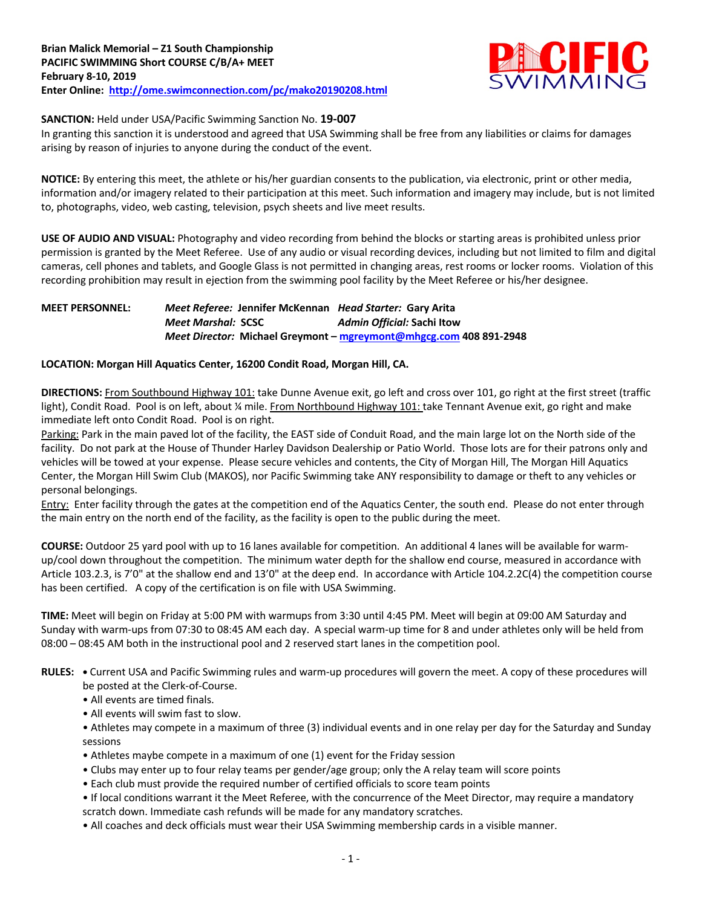

### **SANCTION:** Held under USA/Pacific Swimming Sanction No. **19-007**

In granting this sanction it is understood and agreed that USA Swimming shall be free from any liabilities or claims for damages arising by reason of injuries to anyone during the conduct of the event.

**NOTICE:** By entering this meet, the athlete or his/her guardian consents to the publication, via electronic, print or other media, information and/or imagery related to their participation at this meet. Such information and imagery may include, but is not limited to, photographs, video, web casting, television, psych sheets and live meet results.

**USE OF AUDIO AND VISUAL:** Photography and video recording from behind the blocks or starting areas is prohibited unless prior permission is granted by the Meet Referee. Use of any audio or visual recording devices, including but not limited to film and digital cameras, cell phones and tablets, and Google Glass is not permitted in changing areas, rest rooms or locker rooms. Violation of this recording prohibition may result in ejection from the swimming pool facility by the Meet Referee or his/her designee.

## **MEET PERSONNEL:** *Meet Referee:* **Jennifer McKennan** *Head Starter:* **Gary Arita** *Meet Marshal:* **SCSC** *Admin Official:* **Sachi Itow** *Meet Director:* **Michael Greymont – mgreymont@mhgcg.com 408 891-2948**

### **LOCATION: Morgan Hill Aquatics Center, 16200 Condit Road, Morgan Hill, CA.**

**DIRECTIONS:** From Southbound Highway 101: take Dunne Avenue exit, go left and cross over 101, go right at the first street (traffic light), Condit Road. Pool is on left, about ¼ mile. From Northbound Highway 101: take Tennant Avenue exit, go right and make immediate left onto Condit Road. Pool is on right.

Parking: Park in the main paved lot of the facility, the EAST side of Conduit Road, and the main large lot on the North side of the facility. Do not park at the House of Thunder Harley Davidson Dealership or Patio World. Those lots are for their patrons only and vehicles will be towed at your expense. Please secure vehicles and contents, the City of Morgan Hill, The Morgan Hill Aquatics Center, the Morgan Hill Swim Club (MAKOS), nor Pacific Swimming take ANY responsibility to damage or theft to any vehicles or personal belongings.

Entry: Enter facility through the gates at the competition end of the Aquatics Center, the south end. Please do not enter through the main entry on the north end of the facility, as the facility is open to the public during the meet.

**COURSE:** Outdoor 25 yard pool with up to 16 lanes available for competition. An additional 4 lanes will be available for warmup/cool down throughout the competition. The minimum water depth for the shallow end course, measured in accordance with Article 103.2.3, is 7'0" at the shallow end and 13'0" at the deep end. In accordance with Article 104.2.2C(4) the competition course has been certified. A copy of the certification is on file with USA Swimming.

**TIME:** Meet will begin on Friday at 5:00 PM with warmups from 3:30 until 4:45 PM. Meet will begin at 09:00 AM Saturday and Sunday with warm-ups from 07:30 to 08:45 AM each day. A special warm-up time for 8 and under athletes only will be held from 08:00 – 08:45 AM both in the instructional pool and 2 reserved start lanes in the competition pool.

- **RULES:** Current USA and Pacific Swimming rules and warm-up procedures will govern the meet. A copy of these procedures will be posted at the Clerk-of-Course.
	- All events are timed finals.
	- All events will swim fast to slow.
	- Athletes may compete in a maximum of three (3) individual events and in one relay per day for the Saturday and Sunday sessions
	- Athletes maybe compete in a maximum of one (1) event for the Friday session
	- Clubs may enter up to four relay teams per gender/age group; only the A relay team will score points
	- Each club must provide the required number of certified officials to score team points
	- If local conditions warrant it the Meet Referee, with the concurrence of the Meet Director, may require a mandatory scratch down. Immediate cash refunds will be made for any mandatory scratches.
	- All coaches and deck officials must wear their USA Swimming membership cards in a visible manner.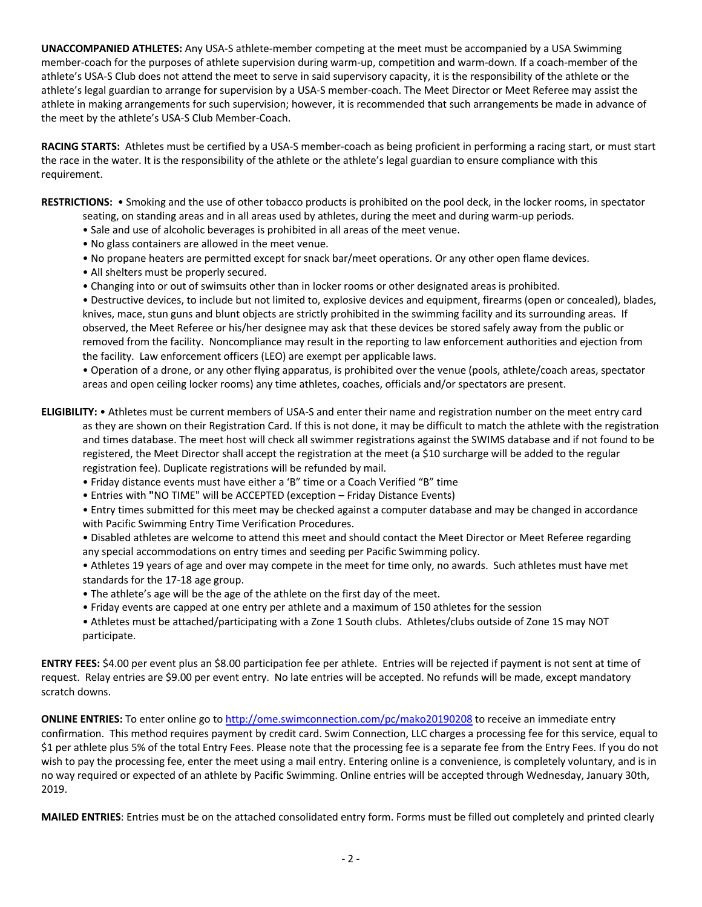**UNACCOMPANIED ATHLETES:** Any USA-S athlete-member competing at the meet must be accompanied by a USA Swimming member-coach for the purposes of athlete supervision during warm-up, competition and warm-down. If a coach-member of the athlete's USA-S Club does not attend the meet to serve in said supervisory capacity, it is the responsibility of the athlete or the athlete's legal guardian to arrange for supervision by a USA-S member-coach. The Meet Director or Meet Referee may assist the athlete in making arrangements for such supervision; however, it is recommended that such arrangements be made in advance of the meet by the athlete's USA-S Club Member-Coach.

**RACING STARTS:** Athletes must be certified by a USA-S member-coach as being proficient in performing a racing start, or must start the race in the water. It is the responsibility of the athlete or the athlete's legal guardian to ensure compliance with this requirement.

**RESTRICTIONS:** • Smoking and the use of other tobacco products is prohibited on the pool deck, in the locker rooms, in spectator seating, on standing areas and in all areas used by athletes, during the meet and during warm-up periods.

- Sale and use of alcoholic beverages is prohibited in all areas of the meet venue.
- No glass containers are allowed in the meet venue.
- No propane heaters are permitted except for snack bar/meet operations. Or any other open flame devices.
- All shelters must be properly secured.
- Changing into or out of swimsuits other than in locker rooms or other designated areas is prohibited.

• Destructive devices, to include but not limited to, explosive devices and equipment, firearms (open or concealed), blades, knives, mace, stun guns and blunt objects are strictly prohibited in the swimming facility and its surrounding areas. If observed, the Meet Referee or his/her designee may ask that these devices be stored safely away from the public or removed from the facility. Noncompliance may result in the reporting to law enforcement authorities and ejection from the facility. Law enforcement officers (LEO) are exempt per applicable laws.

• Operation of a drone, or any other flying apparatus, is prohibited over the venue (pools, athlete/coach areas, spectator areas and open ceiling locker rooms) any time athletes, coaches, officials and/or spectators are present.

- **ELIGIBILITY:** Athletes must be current members of USA-S and enter their name and registration number on the meet entry card as they are shown on their Registration Card. If this is not done, it may be difficult to match the athlete with the registration and times database. The meet host will check all swimmer registrations against the SWIMS database and if not found to be registered, the Meet Director shall accept the registration at the meet (a \$10 surcharge will be added to the regular registration fee). Duplicate registrations will be refunded by mail.
	- Friday distance events must have either a 'B" time or a Coach Verified "B" time
	- Entries with **"**NO TIME" will be ACCEPTED (exception Friday Distance Events)
	- Entry times submitted for this meet may be checked against a computer database and may be changed in accordance with Pacific Swimming Entry Time Verification Procedures.
	- Disabled athletes are welcome to attend this meet and should contact the Meet Director or Meet Referee regarding any special accommodations on entry times and seeding per Pacific Swimming policy.
	- Athletes 19 years of age and over may compete in the meet for time only, no awards. Such athletes must have met standards for the 17-18 age group.
	- The athlete's age will be the age of the athlete on the first day of the meet.
	- Friday events are capped at one entry per athlete and a maximum of 150 athletes for the session
	- Athletes must be attached/participating with a Zone 1 South clubs. Athletes/clubs outside of Zone 1S may NOT participate.

**ENTRY FEES:** \$4.00 per event plus an \$8.00 participation fee per athlete. Entries will be rejected if payment is not sent at time of request. Relay entries are \$9.00 per event entry. No late entries will be accepted. No refunds will be made, except mandatory scratch downs.

**ONLINE ENTRIES:** To enter online go to http://ome.swimconnection.com/pc/mako20190208 to receive an immediate entry confirmation. This method requires payment by credit card. Swim Connection, LLC charges a processing fee for this service, equal to \$1 per athlete plus 5% of the total Entry Fees. Please note that the processing fee is a separate fee from the Entry Fees. If you do not wish to pay the processing fee, enter the meet using a mail entry. Entering online is a convenience, is completely voluntary, and is in no way required or expected of an athlete by Pacific Swimming. Online entries will be accepted through Wednesday, January 30th, 2019.

**MAILED ENTRIES**: Entries must be on the attached consolidated entry form. Forms must be filled out completely and printed clearly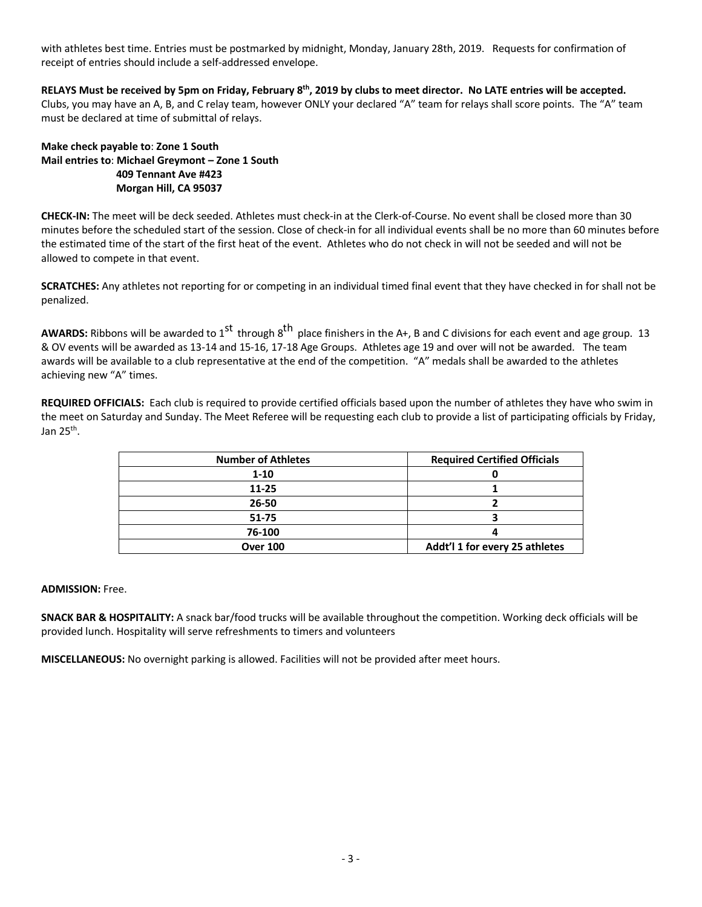with athletes best time. Entries must be postmarked by midnight, Monday, January 28th, 2019. Requests for confirmation of receipt of entries should include a self-addressed envelope.

**RELAYS Must be received by 5pm on Friday, February 8th, 2019 by clubs to meet director. No LATE entries will be accepted.** Clubs, you may have an A, B, and C relay team, however ONLY your declared "A" team for relays shall score points. The "A" team must be declared at time of submittal of relays.

**Make check payable to**: **Zone 1 South Mail entries to**: **Michael Greymont – Zone 1 South 409 Tennant Ave #423 Morgan Hill, CA 95037** 

**CHECK-IN:** The meet will be deck seeded. Athletes must check-in at the Clerk-of-Course. No event shall be closed more than 30 minutes before the scheduled start of the session. Close of check-in for all individual events shall be no more than 60 minutes before the estimated time of the start of the first heat of the event. Athletes who do not check in will not be seeded and will not be allowed to compete in that event.

**SCRATCHES:** Any athletes not reporting for or competing in an individual timed final event that they have checked in for shall not be penalized.

**AWARDS:** Ribbons will be awarded to 1<sup>st</sup> through 8<sup>th</sup> place finishers in the A+, B and C divisions for each event and age group. 13 & OV events will be awarded as 13-14 and 15-16, 17-18 Age Groups. Athletes age 19 and over will not be awarded. The team awards will be available to a club representative at the end of the competition. "A" medals shall be awarded to the athletes achieving new "A" times.

**REQUIRED OFFICIALS:** Each club is required to provide certified officials based upon the number of athletes they have who swim in the meet on Saturday and Sunday. The Meet Referee will be requesting each club to provide a list of participating officials by Friday, Jan  $25<sup>th</sup>$ .

| <b>Number of Athletes</b> | <b>Required Certified Officials</b> |
|---------------------------|-------------------------------------|
| $1 - 10$                  |                                     |
| 11-25                     |                                     |
| 26-50                     |                                     |
| $51 - 75$                 |                                     |
| 76-100                    |                                     |
| <b>Over 100</b>           | Addt'l 1 for every 25 athletes      |

**ADMISSION:** Free.

**SNACK BAR & HOSPITALITY:** A snack bar/food trucks will be available throughout the competition. Working deck officials will be provided lunch. Hospitality will serve refreshments to timers and volunteers

**MISCELLANEOUS:** No overnight parking is allowed. Facilities will not be provided after meet hours.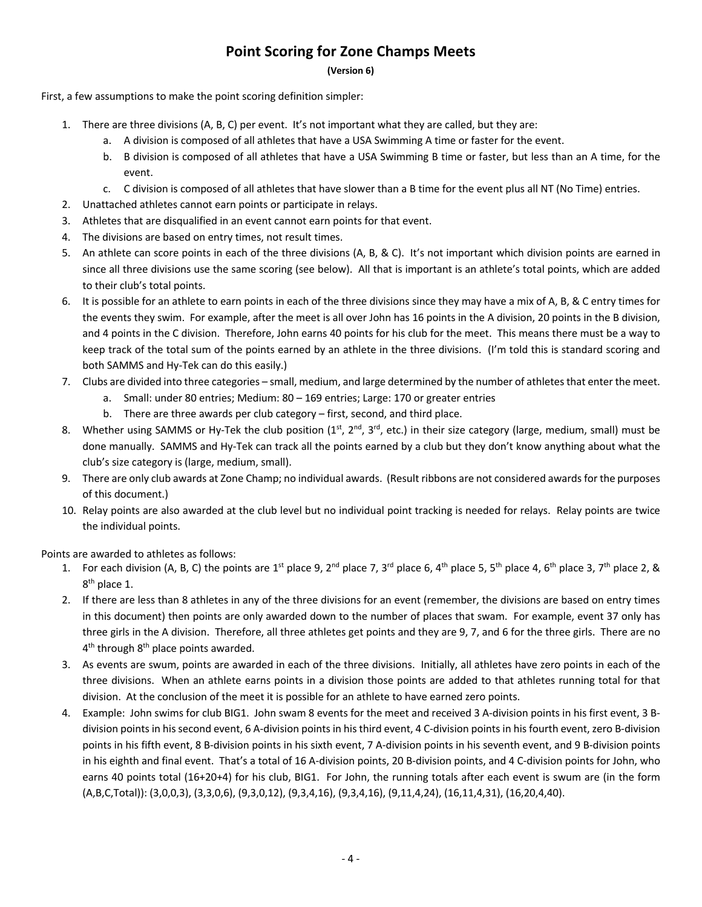# **Point Scoring for Zone Champs Meets**

**(Version 6)**

First, a few assumptions to make the point scoring definition simpler:

- 1. There are three divisions (A, B, C) per event. It's not important what they are called, but they are:
	- a. A division is composed of all athletes that have a USA Swimming A time or faster for the event.
	- b. B division is composed of all athletes that have a USA Swimming B time or faster, but less than an A time, for the event.
	- c. C division is composed of all athletes that have slower than a B time for the event plus all NT (No Time) entries.
- 2. Unattached athletes cannot earn points or participate in relays.
- 3. Athletes that are disqualified in an event cannot earn points for that event.
- 4. The divisions are based on entry times, not result times.
- 5. An athlete can score points in each of the three divisions (A, B, & C). It's not important which division points are earned in since all three divisions use the same scoring (see below). All that is important is an athlete's total points, which are added to their club's total points.
- 6. It is possible for an athlete to earn points in each of the three divisions since they may have a mix of A, B, & C entry times for the events they swim. For example, after the meet is all over John has 16 points in the A division, 20 points in the B division, and 4 points in the C division. Therefore, John earns 40 points for his club for the meet. This means there must be a way to keep track of the total sum of the points earned by an athlete in the three divisions. (I'm told this is standard scoring and both SAMMS and Hy-Tek can do this easily.)
- 7. Clubs are divided into three categories small, medium, and large determined by the number of athletesthat enter the meet.
	- a. Small: under 80 entries; Medium: 80 169 entries; Large: 170 or greater entries
	- b. There are three awards per club category first, second, and third place.
- 8. Whether using SAMMS or Hy-Tek the club position  $(1^{st}, 2^{nd}, 3^{rd}, etc.)$  in their size category (large, medium, small) must be done manually. SAMMS and Hy-Tek can track all the points earned by a club but they don't know anything about what the club's size category is (large, medium, small).
- 9. There are only club awards at Zone Champ; no individual awards. (Result ribbons are not considered awards for the purposes of this document.)
- 10. Relay points are also awarded at the club level but no individual point tracking is needed for relays. Relay points are twice the individual points.

Points are awarded to athletes as follows:

- 1. For each division (A, B, C) the points are  $1^{st}$  place 9, 2<sup>nd</sup> place 7, 3<sup>rd</sup> place 6, 4<sup>th</sup> place 5, 5<sup>th</sup> place 4, 6<sup>th</sup> place 3, 7<sup>th</sup> place 2, & 8<sup>th</sup> place 1.
- 2. If there are less than 8 athletes in any of the three divisions for an event (remember, the divisions are based on entry times in this document) then points are only awarded down to the number of places that swam. For example, event 37 only has three girls in the A division. Therefore, all three athletes get points and they are 9, 7, and 6 for the three girls. There are no  $4<sup>th</sup>$  through  $8<sup>th</sup>$  place points awarded.
- 3. As events are swum, points are awarded in each of the three divisions. Initially, all athletes have zero points in each of the three divisions. When an athlete earns points in a division those points are added to that athletes running total for that division. At the conclusion of the meet it is possible for an athlete to have earned zero points.
- 4. Example: John swims for club BIG1. John swam 8 events for the meet and received 3 A-division points in his first event, 3 Bdivision points in his second event, 6 A-division points in his third event, 4 C-division points in his fourth event, zero B-division points in his fifth event, 8 B-division points in his sixth event, 7 A-division points in his seventh event, and 9 B-division points in his eighth and final event. That's a total of 16 A-division points, 20 B-division points, and 4 C-division points for John, who earns 40 points total (16+20+4) for his club, BIG1. For John, the running totals after each event is swum are (in the form (A,B,C,Total)): (3,0,0,3), (3,3,0,6), (9,3,0,12), (9,3,4,16), (9,3,4,16), (9,11,4,24), (16,11,4,31), (16,20,4,40).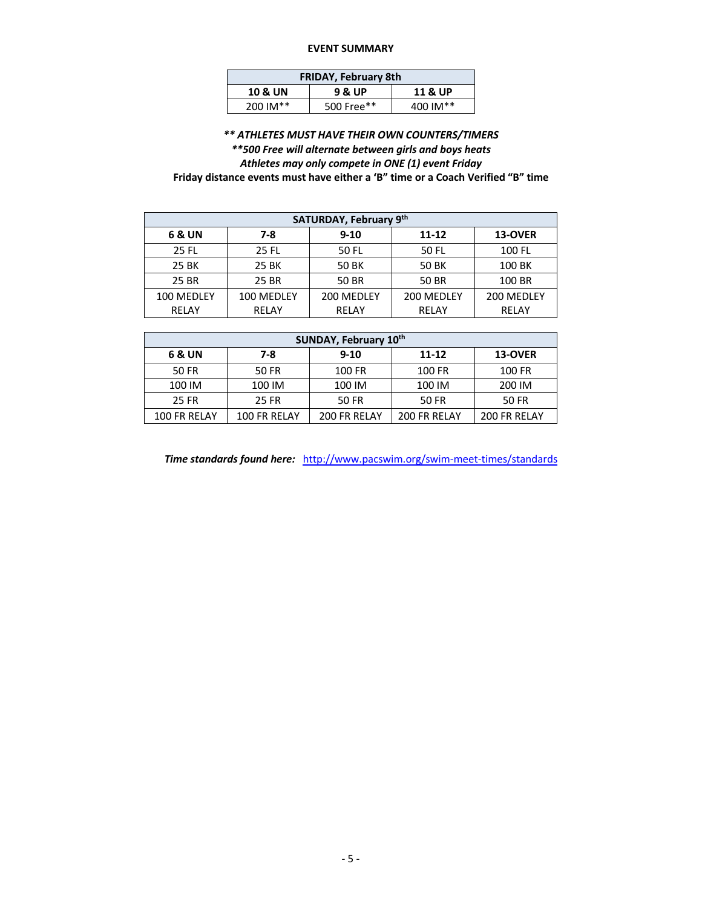#### **EVENT SUMMARY**

| <b>FRIDAY, February 8th</b> |                    |          |  |  |  |  |  |  |
|-----------------------------|--------------------|----------|--|--|--|--|--|--|
| <b>10 &amp; UN</b>          | <b>11 &amp; UP</b> |          |  |  |  |  |  |  |
| 200 IM**                    | 500 Free**         | 400 IM** |  |  |  |  |  |  |

*\*\* ATHLETES MUST HAVE THEIR OWN COUNTERS/TIMERS \*\*500 Free will alternate between girls and boys heats Athletes may only compete in ONE (1) event Friday* **Friday distance events must have either a 'B" time or a Coach Verified "B" time** 

| SATURDAY, February 9th   |       |            |            |            |  |  |  |  |  |  |
|--------------------------|-------|------------|------------|------------|--|--|--|--|--|--|
| 6 & UN                   | 7-8   | $9 - 10$   | $11 - 12$  | 13-OVER    |  |  |  |  |  |  |
| 25 FL                    | 25 FL | 50 FL      | 50 FL      | 100 FL     |  |  |  |  |  |  |
| 25 BK                    | 25 BK | 50 BK      | 50 BK      | 100 BK     |  |  |  |  |  |  |
| 25 BR<br>25 BR           |       | 50 BR      | 50 BR      | 100 BR     |  |  |  |  |  |  |
| 100 MEDLEY<br>100 MEDLEY |       | 200 MEDLEY | 200 MEDLEY | 200 MEDLEY |  |  |  |  |  |  |
| RELAY                    | RELAY | RELAY      | RELAY      | RELAY      |  |  |  |  |  |  |

| SUNDAY, February 10th                         |                     |              |              |              |  |  |  |  |  |  |
|-----------------------------------------------|---------------------|--------------|--------------|--------------|--|--|--|--|--|--|
| 7-8<br>11-12<br>6 & UN<br>$9 - 10$<br>13-OVER |                     |              |              |              |  |  |  |  |  |  |
| 50 FR                                         | 50 FR               | 100 FR       | 100 FR       | 100 FR       |  |  |  |  |  |  |
| 100 IM<br>100 IM                              |                     | 100 IM       | 100 IM       | 200 IM       |  |  |  |  |  |  |
| 25 FR<br>25 FR                                |                     | 50 FR        | 50 FR        | 50 FR        |  |  |  |  |  |  |
| 100 FR RELAY                                  | <b>100 FR RELAY</b> | 200 FR RELAY | 200 FR RELAY | 200 FR RELAY |  |  |  |  |  |  |

*Time standards found here:* http://www.pacswim.org/swim-meet-times/standards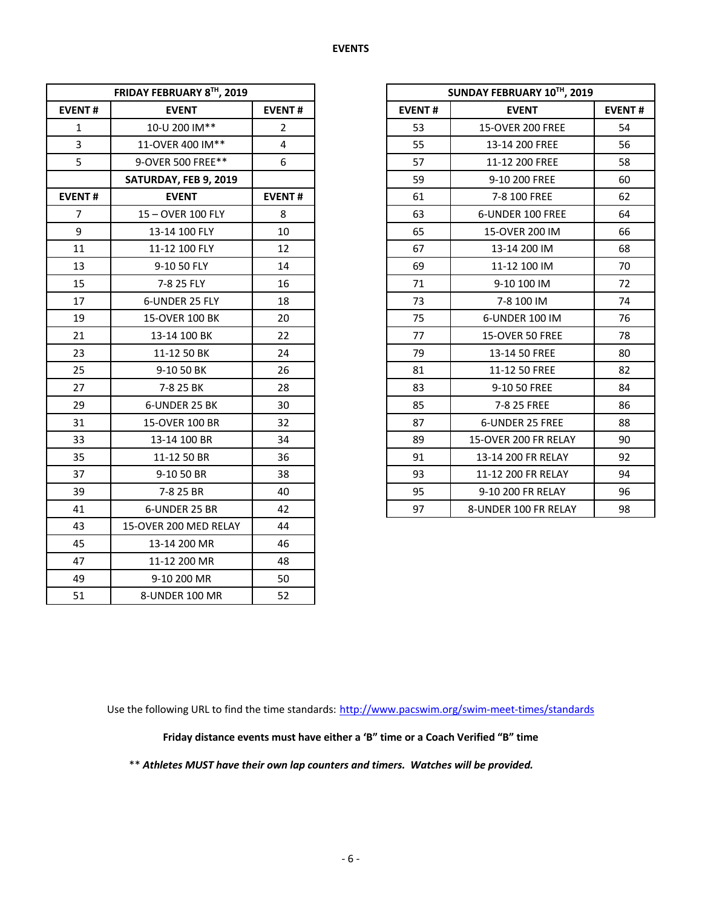|                | FRIDAY FEBRUARY 8TH, 2019 |                |               | SUNDAY FEBRUARY 10TH, 2019 |             |
|----------------|---------------------------|----------------|---------------|----------------------------|-------------|
| <b>EVENT#</b>  | <b>EVENT</b>              | <b>EVENT#</b>  | <b>EVENT#</b> | <b>EVENT</b>               | <b>EVEN</b> |
| $\mathbf{1}$   | 10-U 200 IM**             | $\overline{2}$ | 53            | <b>15-OVER 200 FREE</b>    | 54          |
| 3              | 11-OVER 400 IM**          | 4              | 55            | 13-14 200 FREE             | 56          |
| 5              | 9-OVER 500 FREE**         | 6              | 57            | 11-12 200 FREE             | 58          |
|                | SATURDAY, FEB 9, 2019     |                | 59            | 9-10 200 FREE              | 60          |
| <b>EVENT#</b>  | <b>EVENT</b>              | <b>EVENT#</b>  | 61            | 7-8 100 FREE               | 62          |
| $\overline{7}$ | 15-OVER 100 FLY           | 8              | 63            | 6-UNDER 100 FREE           | 64          |
| 9              | 13-14 100 FLY             | 10             | 65            | 15-OVER 200 IM             | 66          |
| 11             | 11-12 100 FLY             | 12             | 67            | 13-14 200 IM               | 68          |
| 13             | 9-10 50 FLY               | 14             | 69            | 11-12 100 IM               | 70          |
| 15             | 7-8 25 FLY                | 16             | 71            | 9-10 100 IM                | 72          |
| 17             | 6-UNDER 25 FLY            | 18             | 73            | 7-8 100 IM                 | 74          |
| 19             | 15-OVER 100 BK            | 20             | 75            | 6-UNDER 100 IM             | 76          |
| 21             | 13-14 100 BK              | 22             | 77            | 15-OVER 50 FREE            | 78          |
| 23             | 11-12 50 BK               | 24             | 79            | 13-14 50 FREE              | 80          |
| 25             | 9-10 50 BK                | 26             | 81            | 11-12 50 FREE              | 82          |
| 27             | 7-8 25 BK                 | 28             | 83            | 9-10 50 FREE               | 84          |
| 29             | 6-UNDER 25 BK             | 30             | 85            | 7-8 25 FREE                | 86          |
| 31             | 15-OVER 100 BR            | 32             | 87            | 6-UNDER 25 FREE            | 88          |
| 33             | 13-14 100 BR              | 34             | 89            | 15-OVER 200 FR RELAY       | 90          |
| 35             | 11-12 50 BR               | 36             | 91            | 13-14 200 FR RELAY         | 92          |
| 37             | 9-10 50 BR                | 38             | 93            | 11-12 200 FR RELAY         | 94          |
| 39             | 7-8 25 BR                 | 40             | 95            | 9-10 200 FR RELAY          | 96          |
| 41             | 6-UNDER 25 BR             | 42             | 97            | 8-UNDER 100 FR RELAY       | 98          |
| 43             | 15-OVER 200 MED RELAY     | 44             |               |                            |             |
| 45             | 13-14 200 MR              | 46             |               |                            |             |
| 47             | 11-12 200 MR              | 48             |               |                            |             |
| 49             | 9-10 200 MR               | 50             |               |                            |             |
| 51             | 8-UNDER 100 MR            | 52             |               |                            |             |

|                | FRIDAY FEBRUARY 8TH, 2019 |                |
|----------------|---------------------------|----------------|
| <b>EVENT#</b>  | <b>EVENT</b>              | <b>EVENT#</b>  |
| $\mathbf{1}$   | 10-U 200 IM**             | $\overline{2}$ |
| $\overline{3}$ | 11-OVER 400 IM**          | 4              |
| 5              | 9-OVER 500 FREE**         | 6              |
|                | SATURDAY, FEB 9, 2019     |                |
| <b>EVENT#</b>  | <b>EVENT</b>              | <b>EVENT#</b>  |
| $\overline{7}$ | 15-OVER 100 FLY           | 8              |
| 9              | 13-14 100 FLY             | 10             |
| 11             | 11-12 100 FLY             | 12             |
| 13             | 9-10 50 FLY               | 14             |
| 15             | 7-8 25 FLY                | 16             |
| 17             | 6-UNDER 25 FLY            | 18             |
| 19             | 15-OVER 100 BK            | 20             |
| 21             | 13-14 100 BK              | 22             |
| 23             | 11-12 50 BK               | 24             |
| 25             | 9-10 50 BK                | 26             |
| 27             | 7-8 25 BK                 | 28             |
| 29             | 6-UNDER 25 BK             | 30             |
| 31             | 15-OVER 100 BR            | 32             |
| 33             | 13-14 100 BR              | 34             |
| 35             | 11-12 50 BR               | 36             |
| 37             | 9-10 50 BR                | 38             |
| 39             | 7-8 25 BR                 | 40             |
| 41             | 6-UNDER 25 BR             | 42             |

Use the following URL to find the time standards: http://www.pacswim.org/swim-meet-times/standards

**Friday distance events must have either a 'B" time or a Coach Verified "B" time** 

\*\* *Athletes MUST have their own lap counters and timers. Watches will be provided.*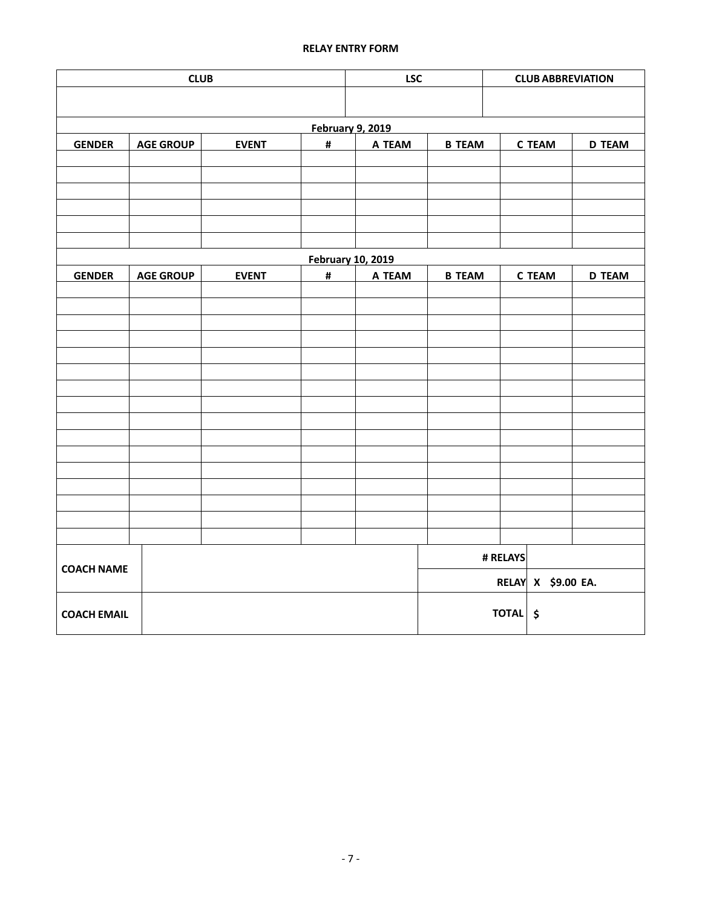## **RELAY ENTRY FORM**

|                    | <b>LSC</b>       |              | <b>CLUB ABBREVIATION</b> |                          |               |               |                    |               |
|--------------------|------------------|--------------|--------------------------|--------------------------|---------------|---------------|--------------------|---------------|
|                    |                  |              |                          |                          |               |               |                    |               |
|                    |                  |              |                          | <b>February 9, 2019</b>  |               |               |                    |               |
| <b>GENDER</b>      | <b>AGE GROUP</b> | <b>EVENT</b> | $\pmb{\sharp}$           | A TEAM                   | <b>B TEAM</b> | <b>D TEAM</b> |                    |               |
|                    |                  |              |                          |                          |               |               |                    |               |
|                    |                  |              |                          |                          |               |               |                    |               |
|                    |                  |              |                          |                          |               |               |                    |               |
|                    |                  |              |                          |                          |               |               |                    |               |
|                    |                  |              |                          |                          |               |               |                    |               |
|                    |                  |              |                          | <b>February 10, 2019</b> |               |               |                    |               |
| <b>GENDER</b>      | <b>AGE GROUP</b> | <b>EVENT</b> | $\pmb{\sharp}$           | A TEAM                   | <b>B TEAM</b> |               | <b>C TEAM</b>      | <b>D TEAM</b> |
|                    |                  |              |                          |                          |               |               |                    |               |
|                    |                  |              |                          |                          |               |               |                    |               |
|                    |                  |              |                          |                          |               |               |                    |               |
|                    |                  |              |                          |                          |               |               |                    |               |
|                    |                  |              |                          |                          |               |               |                    |               |
|                    |                  |              |                          |                          |               |               |                    |               |
|                    |                  |              |                          |                          |               |               |                    |               |
|                    |                  |              |                          |                          |               |               |                    |               |
|                    |                  |              |                          |                          |               |               |                    |               |
|                    |                  |              |                          |                          |               |               |                    |               |
|                    |                  |              |                          |                          |               |               |                    |               |
|                    |                  |              |                          |                          |               |               |                    |               |
|                    |                  |              |                          |                          |               |               |                    |               |
| <b>COACH NAME</b>  |                  |              |                          |                          |               | # RELAYS      |                    |               |
|                    |                  |              |                          |                          |               |               | RELAY X \$9.00 EA. |               |
|                    |                  |              |                          |                          |               |               |                    |               |
| <b>COACH EMAIL</b> |                  |              |                          |                          |               | TOTAL \$      |                    |               |